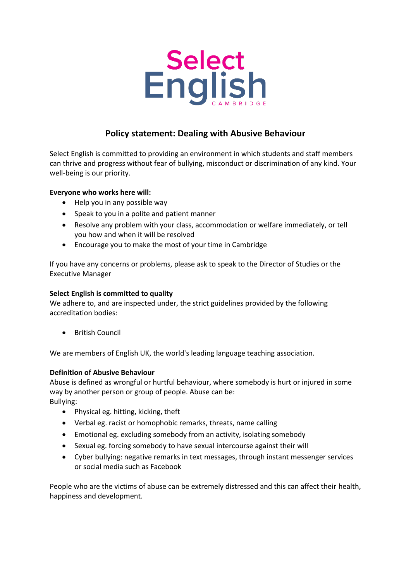

# **Policy statement: Dealing with Abusive Behaviour**

Select English is committed to providing an environment in which students and staff members can thrive and progress without fear of bullying, misconduct or discrimination of any kind. Your well-being is our priority.

# **Everyone who works here will:**

- Help you in any possible way
- Speak to you in a polite and patient manner
- Resolve any problem with your class, accommodation or welfare immediately, or tell you how and when it will be resolved
- Encourage you to make the most of your time in Cambridge

If you have any concerns or problems, please ask to speak to the Director of Studies or the Executive Manager

### **Select English is committed to quality**

We adhere to, and are inspected under, the strict guidelines provided by the following accreditation bodies:

• British Council

We are members of English UK, the world's leading language teaching association.

# **Definition of Abusive Behaviour**

Abuse is defined as wrongful or hurtful behaviour, where somebody is hurt or injured in some way by another person or group of people. Abuse can be: Bullying:

- Physical eg. hitting, kicking, theft
- Verbal eg. racist or homophobic remarks, threats, name calling
- Emotional eg. excluding somebody from an activity, isolating somebody
- Sexual eg. forcing somebody to have sexual intercourse against their will
- Cyber bullying: negative remarks in text messages, through instant messenger services or social media such as Facebook

People who are the victims of abuse can be extremely distressed and this can affect their health, happiness and development.